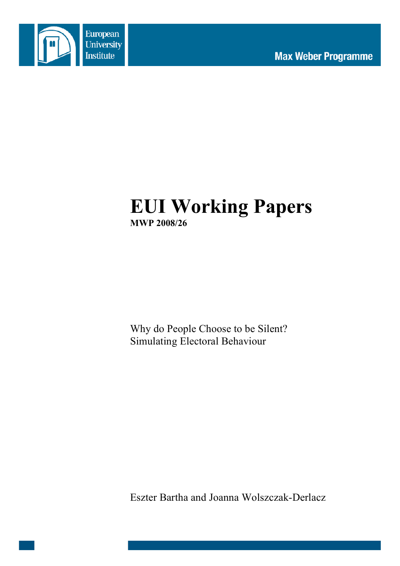

# **EUI Working Papers MWP 2008/26**

Why do People Choose to be Silent? Simulating Electoral Behaviour

Eszter Bartha and Joanna Wolszczak-Derlacz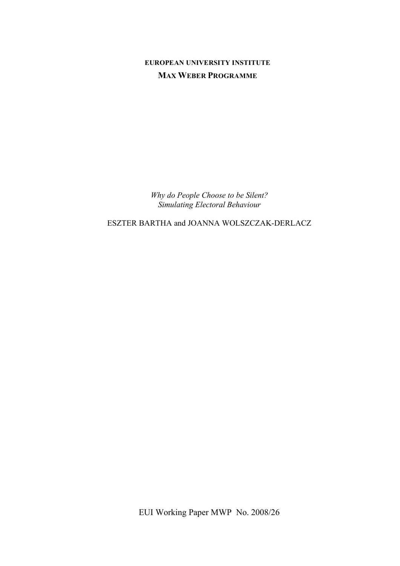# **EUROPEAN UNIVERSITY INSTITUTE MAX WEBER PROGRAMME**

*Why do People Choose to be Silent? Simulating Electoral Behaviour*

ESZTER BARTHA and JOANNA WOLSZCZAK-DERLACZ

EUI Working Paper MWP No. 2008/26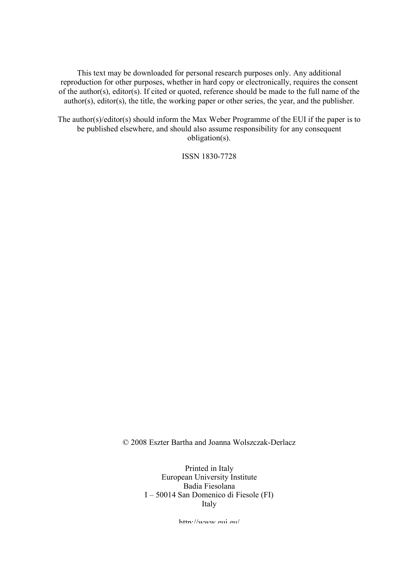This text may be downloaded for personal research purposes only. Any additional reproduction for other purposes, whether in hard copy or electronically, requires the consent of the author(s), editor(s). If cited or quoted, reference should be made to the full name of the author(s), editor(s), the title, the working paper or other series, the year, and the publisher.

The author(s)/editor(s) should inform the Max Weber Programme of the EUI if the paper is to be published elsewhere, and should also assume responsibility for any consequent obligation(s).

ISSN 1830-7728

© 2008 Eszter Bartha and Joanna Wolszczak-Derlacz

Printed in Italy European University Institute Badia Fiesolana I – 50014 San Domenico di Fiesole (FI) Italy

http://www.eui.eu/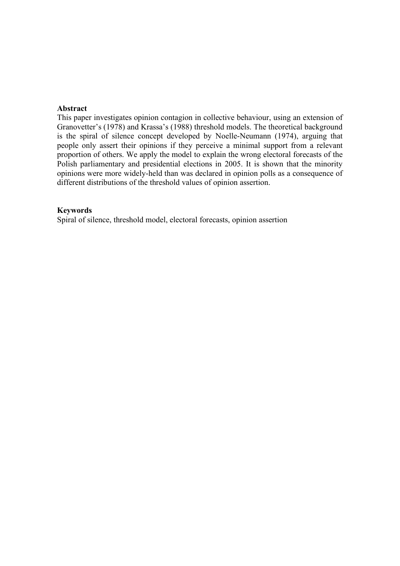# **Abstract**

This paper investigates opinion contagion in collective behaviour, using an extension of Granovetter's (1978) and Krassa's (1988) threshold models. The theoretical background is the spiral of silence concept developed by Noelle-Neumann (1974), arguing that people only assert their opinions if they perceive a minimal support from a relevant proportion of others. We apply the model to explain the wrong electoral forecasts of the Polish parliamentary and presidential elections in 2005. It is shown that the minority opinions were more widely-held than was declared in opinion polls as a consequence of different distributions of the threshold values of opinion assertion.

## **Keywords**

Spiral of silence, threshold model, electoral forecasts, opinion assertion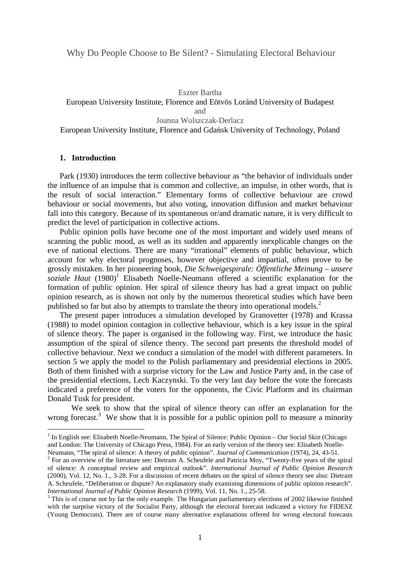Eszter Bartha

European University Institute, Florence and Eötvös Loránd University of Budapest and Joanna Wolszczak-Derlacz

European University Institute, Florence and Gdańsk University of Technology, Poland

# **1. Introduction**

 $\overline{a}$ 

Park (1930) introduces the term collective behaviour as "the behavior of individuals under the influence of an impulse that is common and collective, an impulse, in other words, that is the result of social interaction." Elementary forms of collective behaviour are crowd behaviour or social movements, but also voting, innovation diffusion and market behaviour fall into this category. Because of its spontaneous or/and dramatic nature, it is very difficult to predict the level of participation in collective actions.

Public opinion polls have become one of the most important and widely used means of scanning the public mood, as well as its sudden and apparently inexplicable changes on the eve of national elections. There are many "irrational" elements of public behaviour, which account for why electoral prognoses, however objective and impartial, often prove to be grossly mistaken. In her pioneering book, *Die Schweigespirale: Öffentliche Meinung – unsere*  soziale Haut (1980)<sup>1</sup> Elisabeth Noelle-Neumann offered a scientific explanation for the formation of public opinion. Her spiral of silence theory has had a great impact on public opinion research, as is shown not only by the numerous theoretical studies which have been published so far but also by attempts to translate the theory into operational models.<sup>2</sup>

The present paper introduces a simulation developed by Granovetter (1978) and Krassa (1988) to model opinion contagion in collective behaviour, which is a key issue in the spiral of silence theory. The paper is organised in the following way. First, we introduce the basic assumption of the spiral of silence theory. The second part presents the threshold model of collective behaviour. Next we conduct a simulation of the model with different parameters. In section 5 we apply the model to the Polish parliamentary and presidential elections in 2005. Both of them finished with a surprise victory for the Law and Justice Party and, in the case of the presidential elections, Lech Kaczynski. To the very last day before the vote the forecasts indicated a preference of the voters for the opponents, the Civic Platform and its chairman Donald Tusk for president.

We seek to show that the spiral of silence theory can offer an explanation for the wrong forecast.<sup>3</sup> We show that it is possible for a public opinion poll to measure a minority

<sup>&</sup>lt;sup>1</sup> In English see: Elisabeth Noelle-Neumann, The Spiral of Silence: Public Opinion – Our Social Skin (Chicago and London: The University of Chicago Press, 1984). For an early version of the theory see: Elisabeth Noelle-Neumann, "The spiral of silence: A theory of public opinion". *Journal of Communication* (1974), 24, 43-51.

 $2^2$  For an overview of the literature see: Dietram A. Scheufele and Patricia Moy, "Twenty-five years of the spiral of silence: A conceptual review and empirical outlook". *International Journal of Public Opinion Research*  (2000), Vol. 12, No. 1., 3-28. For a discussion of recent debates on the spiral of silence theory see also: Dietram A. Scheufele, "Deliberation or dispute? An explanatory study examining dimensions of public opinion research". *International Journal of Public Opinion Research* (1999), Vol. 11, No. 1., 25-58.

 $3$  This is of course not by far the only example. The Hungarian parliamentary elections of 2002 likewise finished with the surprise victory of the Socialist Party, although the electoral forecast indicated a victory for FIDESZ (Young Democrats). There are of course many alternative explanations offered for wrong electoral forecasts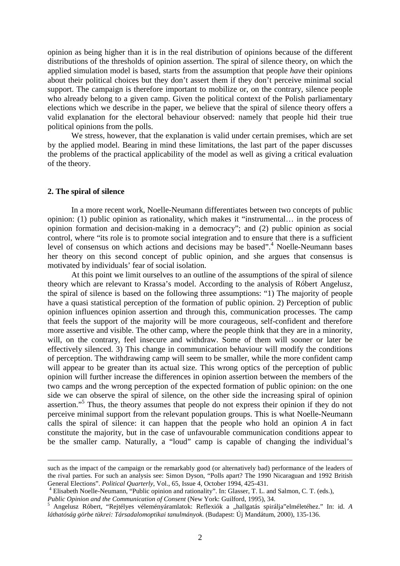opinion as being higher than it is in the real distribution of opinions because of the different distributions of the thresholds of opinion assertion. The spiral of silence theory, on which the applied simulation model is based, starts from the assumption that people *have* their opinions about their political choices but they don't assert them if they don't perceive minimal social support. The campaign is therefore important to mobilize or, on the contrary, silence people who already belong to a given camp. Given the political context of the Polish parliamentary elections which we describe in the paper, we believe that the spiral of silence theory offers a valid explanation for the electoral behaviour observed: namely that people hid their true political opinions from the polls.

We stress, however, that the explanation is valid under certain premises, which are set by the applied model. Bearing in mind these limitations, the last part of the paper discusses the problems of the practical applicability of the model as well as giving a critical evaluation of the theory.

#### **2. The spiral of silence**

<u>.</u>

In a more recent work, Noelle-Neumann differentiates between two concepts of public opinion: (1) public opinion as rationality, which makes it "instrumental… in the process of opinion formation and decision-making in a democracy"; and (2) public opinion as social control, where "its role is to promote social integration and to ensure that there is a sufficient level of consensus on which actions and decisions may be based".<sup>4</sup> Noelle-Neumann bases her theory on this second concept of public opinion, and she argues that consensus is motivated by individuals' fear of social isolation.

At this point we limit ourselves to an outline of the assumptions of the spiral of silence theory which are relevant to Krassa's model. According to the analysis of Róbert Angelusz, the spiral of silence is based on the following three assumptions: "1) The majority of people have a quasi statistical perception of the formation of public opinion. 2) Perception of public opinion influences opinion assertion and through this, communication processes. The camp that feels the support of the majority will be more courageous, self-confident and therefore more assertive and visible. The other camp, where the people think that they are in a minority, will, on the contrary, feel insecure and withdraw. Some of them will sooner or later be effectively silenced. 3) This change in communication behaviour will modify the conditions of perception. The withdrawing camp will seem to be smaller, while the more confident camp will appear to be greater than its actual size. This wrong optics of the perception of public opinion will further increase the differences in opinion assertion between the members of the two camps and the wrong perception of the expected formation of public opinion: on the one side we can observe the spiral of silence, on the other side the increasing spiral of opinion assertion."<sup>5</sup> Thus, the theory assumes that people do not express their opinion if they do not perceive minimal support from the relevant population groups. This is what Noelle-Neumann calls the spiral of silence: it can happen that the people who hold an opinion *A* in fact constitute the majority, but in the case of unfavourable communication conditions appear to be the smaller camp. Naturally, a "loud" camp is capable of changing the individual's

such as the impact of the campaign or the remarkably good (or alternatively bad) performance of the leaders of the rival parties. For such an analysis see: Simon Dyson, "Polls apart? The 1990 Nicaraguan and 1992 British General Elections". *Political Quarterly*, Vol., 65, Issue 4, October 1994, 425-431.

<sup>4</sup> Elisabeth Noelle-Neumann, "Public opinion and rationality". In: Glasser, T. L. and Salmon, C. T. (eds.), *Public Opinion and the Communication of Consent* (New York: Guilford, 1995), 34.

<sup>5</sup> Angelusz Róbert, "Rejtélyes véleményáramlatok: Reflexiók a "hallgatás spirálja"elméletéhez." In: id. A *láthatóság görbe tükrei: Társadalomoptikai tanulmányok.* (Budapest: Új Mandátum, 2000), 135-136.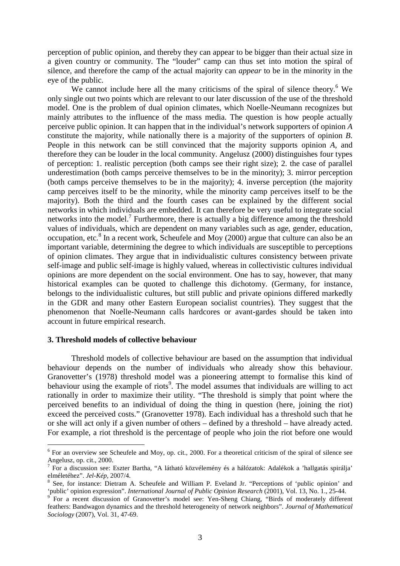perception of public opinion, and thereby they can appear to be bigger than their actual size in a given country or community. The "louder" camp can thus set into motion the spiral of silence, and therefore the camp of the actual majority can *appear* to be in the minority in the eye of the public.

We cannot include here all the many criticisms of the spiral of silence theory.<sup>6</sup> We only single out two points which are relevant to our later discussion of the use of the threshold model. One is the problem of dual opinion climates, which Noelle-Neumann recognizes but mainly attributes to the influence of the mass media. The question is how people actually perceive public opinion. It can happen that in the individual's network supporters of opinion *A* constitute the majority, while nationally there is a majority of the supporters of opinion *B*. People in this network can be still convinced that the majority supports opinion *A*, and therefore they can be louder in the local community. Angelusz (2000) distinguishes four types of perception: 1. realistic perception (both camps see their right size); 2. the case of parallel underestimation (both camps perceive themselves to be in the minority); 3. mirror perception (both camps perceive themselves to be in the majority); 4. inverse perception (the majority camp perceives itself to be the minority, while the minority camp perceives itself to be the majority). Both the third and the fourth cases can be explained by the different social networks in which individuals are embedded. It can therefore be very useful to integrate social networks into the model.<sup>7</sup> Furthermore, there is actually a big difference among the threshold values of individuals, which are dependent on many variables such as age, gender, education, occupation, etc.<sup>8</sup> In a recent work, Scheufele and Moy (2000) argue that culture can also be an important variable, determining the degree to which individuals are susceptible to perceptions of opinion climates. They argue that in individualistic cultures consistency between private self-image and public self-image is highly valued, whereas in collectivistic cultures individual opinions are more dependent on the social environment. One has to say, however, that many historical examples can be quoted to challenge this dichotomy. (Germany, for instance, belongs to the individualistic cultures, but still public and private opinions differed markedly in the GDR and many other Eastern European socialist countries). They suggest that the phenomenon that Noelle-Neumann calls hardcores or avant-gardes should be taken into account in future empirical research.

#### **3. Threshold models of collective behaviour**

 $\overline{a}$ 

Threshold models of collective behaviour are based on the assumption that individual behaviour depends on the number of individuals who already show this behaviour. Granovetter's (1978) threshold model was a pioneering attempt to formalise this kind of behaviour using the example of riots<sup>9</sup>. The model assumes that individuals are willing to act rationally in order to maximize their utility. "The threshold is simply that point where the perceived benefits to an individual of doing the thing in question (here, joining the riot) exceed the perceived costs." (Granovetter 1978). Each individual has a threshold such that he or she will act only if a given number of others – defined by a threshold – have already acted. For example, a riot threshold is the percentage of people who join the riot before one would

<sup>&</sup>lt;sup>6</sup> For an overview see Scheufele and Moy, op. cit., 2000. For a theoretical criticism of the spiral of silence see Angelusz, op. cit., 2000.

<sup>&</sup>lt;sup>7</sup> For a discussion see: Eszter Bartha, "A látható közvélemény és a hálózatok: Adalékok a 'hallgatás spirálja' elméletéhez". *Jel-Kép*, 2007/4.

<sup>8</sup> See, for instance: Dietram A. Scheufele and William P. Eveland Jr. "Perceptions of 'public opinion' and 'public' opinion expression". *International Journal of Public Opinion Research* (2001), Vol. 13, No. 1., 25-44. 9

For a recent discussion of Granovetter's model see: Yen-Sheng Chiang, "Birds of moderately different feathers: Bandwagon dynamics and the threshold heterogeneity of network neighbors". *Journal of Mathematical Sociology* (2007), Vol. 31, 47-69.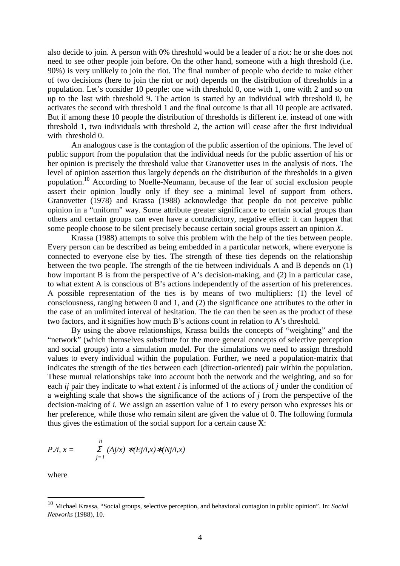also decide to join. A person with 0% threshold would be a leader of a riot: he or she does not need to see other people join before. On the other hand, someone with a high threshold (i.e. 90%) is very unlikely to join the riot. The final number of people who decide to make either of two decisions (here to join the riot or not) depends on the distribution of thresholds in a population. Let's consider 10 people: one with threshold 0, one with 1, one with 2 and so on up to the last with threshold 9. The action is started by an individual with threshold 0, he activates the second with threshold 1 and the final outcome is that all 10 people are activated. But if among these 10 people the distribution of thresholds is different i.e. instead of one with threshold 1, two individuals with threshold 2, the action will cease after the first individual with threshold 0.

An analogous case is the contagion of the public assertion of the opinions. The level of public support from the population that the individual needs for the public assertion of his or her opinion is precisely the threshold value that Granovetter uses in the analysis of riots. The level of opinion assertion thus largely depends on the distribution of the thresholds in a given population.<sup>10</sup> According to Noelle-Neumann, because of the fear of social exclusion people assert their opinion loudly only if they see a minimal level of support from others. Granovetter (1978) and Krassa (1988) acknowledge that people do not perceive public opinion in a "uniform" way. Some attribute greater significance to certain social groups than others and certain groups can even have a contradictory, negative effect: it can happen that some people choose to be silent precisely because certain social groups assert an opinion *X*.

Krassa (1988) attempts to solve this problem with the help of the ties between people. Every person can be described as being embedded in a particular network, where everyone is connected to everyone else by ties. The strength of these ties depends on the relationship between the two people. The strength of the tie between individuals A and B depends on (1) how important B is from the perspective of A's decision-making, and (2) in a particular case, to what extent A is conscious of B's actions independently of the assertion of his preferences. A possible representation of the ties is by means of two multipliers: (1) the level of consciousness, ranging between 0 and 1, and (2) the significance one attributes to the other in the case of an unlimited interval of hesitation. The tie can then be seen as the product of these two factors, and it signifies how much B's actions count in relation to A's threshold.

By using the above relationships, Krassa builds the concepts of "weighting" and the "network" (which themselves substitute for the more general concepts of selective perception and social groups) into a simulation model. For the simulations we need to assign threshold values to every individual within the population. Further, we need a population-matrix that indicates the strength of the ties between each (direction-oriented) pair within the population. These mutual relationships take into account both the network and the weighting, and so for each *ij* pair they indicate to what extent *i* is informed of the actions of *j* under the condition of a weighting scale that shows the significance of the actions of *j* from the perspective of the decision-making of *i.* We assign an assertion value of 1 to every person who expresses his or her preference, while those who remain silent are given the value of 0. The following formula thus gives the estimation of the social support for a certain cause X:

$$
P.\dot{\wedge} \mathbf{i}, \mathbf{x} = \sum_{j=1}^{n} (A j \dot{\mathbf{x}}) * (E j \dot{\wedge} \mathbf{i}, \mathbf{x}) * (N j \dot{\wedge} \mathbf{i}, \mathbf{x})
$$

where

 $\overline{a}$ 

<sup>10</sup> Michael Krassa, "Social groups, selective perception, and behavioral contagion in public opinion". In: *Social Networks* (1988), 10.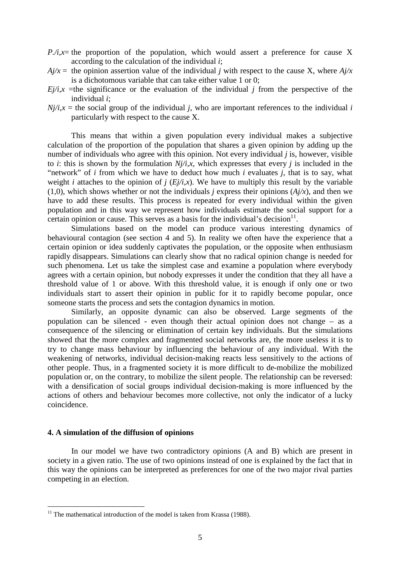- $P_i / i =$ ,  $x =$  the proportion of the population, which would assert a preference for cause X according to the calculation of the individual *i*;
- $A<sub>i</sub>/x$  = the opinion assertion value of the individual *j* with respect to the cause X, where  $A<sub>i</sub>/x$ is a dichotomous variable that can take either value 1 or 0;
- $E/\ell$ *i,x* =the significance or the evaluation of the individual *j* from the perspective of the individual *i*;
- $N_i/i, x$  = the social group of the individual *j*, who are important references to the individual *i* particularly with respect to the cause X.

This means that within a given population every individual makes a subjective calculation of the proportion of the population that shares a given opinion by adding up the number of individuals who agree with this opinion. Not every individual *j* is, however, visible to *i*: this is shown by the formulation *Nj/i,x,* which expresses that every *j* is included in the "network" of *i* from which we have to deduct how much *i* evaluates *j*, that is to say, what weight *i* attaches to the opinion of *j*  $(Ej/i, x)$ . We have to multiply this result by the variable (1,0), which shows whether or not the individuals *j* express their opinions  $(A<sub>i</sub>/x)$ , and then we have to add these results. This process is repeated for every individual within the given population and in this way we represent how individuals estimate the social support for a certain opinion or cause. This serves as a basis for the individual's decision $11$ .

Simulations based on the model can produce various interesting dynamics of behavioural contagion (see section 4 and 5). In reality we often have the experience that a certain opinion or idea suddenly captivates the population, or the opposite when enthusiasm rapidly disappears. Simulations can clearly show that no radical opinion change is needed for such phenomena. Let us take the simplest case and examine a population where everybody agrees with a certain opinion, but nobody expresses it under the condition that they all have a threshold value of 1 or above. With this threshold value, it is enough if only one or two individuals start to assert their opinion in public for it to rapidly become popular, once someone starts the process and sets the contagion dynamics in motion.

Similarly, an opposite dynamic can also be observed. Large segments of the population can be silenced - even though their actual opinion does not change – as a consequence of the silencing or elimination of certain key individuals. But the simulations showed that the more complex and fragmented social networks are, the more useless it is to try to change mass behaviour by influencing the behaviour of any individual. With the weakening of networks, individual decision-making reacts less sensitively to the actions of other people. Thus, in a fragmented society it is more difficult to de-mobilize the mobilized population or, on the contrary, to mobilize the silent people. The relationship can be reversed: with a densification of social groups individual decision-making is more influenced by the actions of others and behaviour becomes more collective, not only the indicator of a lucky coincidence.

#### **4. A simulation of the diffusion of opinions**

 $\overline{a}$ 

In our model we have two contradictory opinions (A and B) which are present in society in a given ratio. The use of two opinions instead of one is explained by the fact that in this way the opinions can be interpreted as preferences for one of the two major rival parties competing in an election.

 $11$  The mathematical introduction of the model is taken from Krassa (1988).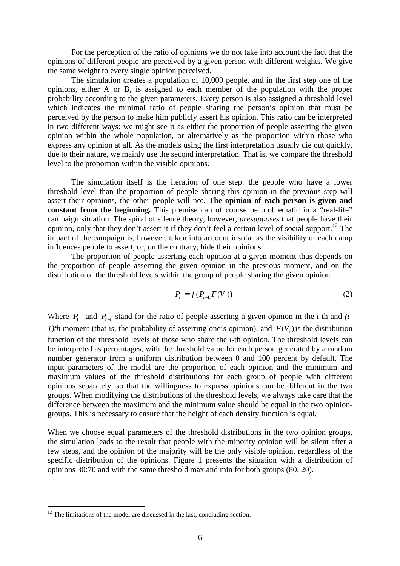For the perception of the ratio of opinions we do not take into account the fact that the opinions of different people are perceived by a given person with different weights. We give the same weight to every single opinion perceived.

The simulation creates a population of 10,000 people, and in the first step one of the opinions, either A or B, is assigned to each member of the population with the proper probability according to the given parameters. Every person is also assigned a threshold level which indicates the minimal ratio of people sharing the person's opinion that must be perceived by the person to make him publicly assert his opinion. This ratio can be interpreted in two different ways: we might see it as either the proportion of people asserting the given opinion within the whole population, or alternatively as the proportion within those who express any opinion at all. As the models using the first interpretation usually die out quickly, due to their nature, we mainly use the second interpretation. That is, we compare the threshold level to the proportion within the visible opinions.

The simulation itself is the iteration of one step: the people who have a lower threshold level than the proportion of people sharing this opinion in the previous step will assert their opinions, the other people will not. **The opinion of each person is given and constant from the beginning.** This premise can of course be problematic in a "real-life" campaign situation. The spiral of silence theory, however, *presupposes* that people have their opinion, only that they don't assert it if they don't feel a certain level of social support.<sup>12</sup> The impact of the campaign is, however, taken into account insofar as the visibility of each camp influences people to assert, or, on the contrary, hide their opinions.

The proportion of people asserting each opinion at a given moment thus depends on the proportion of people asserting the given opinion in the previous moment, and on the distribution of the threshold levels within the group of people sharing the given opinion.

$$
P_t = f(P_{t-1,}F(V_i))
$$
\n(2)

Where  $P_t$  and  $P_{t-1}$  stand for the ratio of people asserting a given opinion in the *t*-th and *(t-1)th* moment (that is, the probability of asserting one's opinion), and  $F(V_i)$  is the distribution function of the threshold levels of those who share the *i*-th opinion. The threshold levels can be interpreted as percentages, with the threshold value for each person generated by a random number generator from a uniform distribution between 0 and 100 percent by default. The input parameters of the model are the proportion of each opinion and the minimum and maximum values of the threshold distributions for each group of people with different opinions separately, so that the willingness to express opinions can be different in the two groups. When modifying the distributions of the threshold levels, we always take care that the difference between the maximum and the minimum value should be equal in the two opiniongroups. This is necessary to ensure that the height of each density function is equal.

When we choose equal parameters of the threshold distributions in the two opinion groups, the simulation leads to the result that people with the minority opinion will be silent after a few steps, and the opinion of the majority will be the only visible opinion, regardless of the specific distribution of the opinions. Figure 1 presents the situation with a distribution of opinions 30:70 and with the same threshold max and min for both groups (80, 20).

 $\overline{a}$ 

 $12$  The limitations of the model are discussed in the last, concluding section.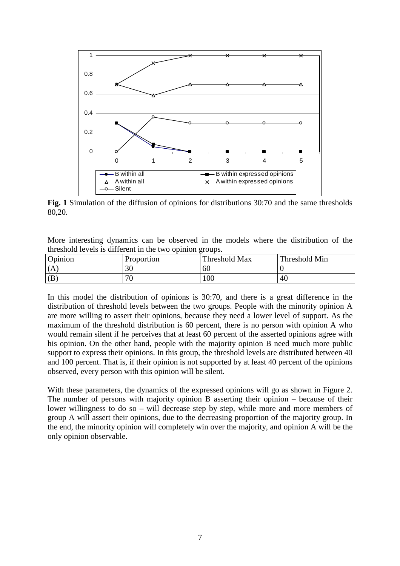

**Fig. 1** Simulation of the diffusion of opinions for distributions 30:70 and the same thresholds 80,20.

More interesting dynamics can be observed in the models where the distribution of the threshold levels is different in the two opinion groups.

| Opinion | Proportion | Threshold Max | Threshold Min |
|---------|------------|---------------|---------------|
| (A      | ∍∩<br>ΟU   | 60            |               |
| (B      | ¬∩<br>v    | 100           | - 4u          |

In this model the distribution of opinions is 30:70, and there is a great difference in the distribution of threshold levels between the two groups. People with the minority opinion A are more willing to assert their opinions, because they need a lower level of support. As the maximum of the threshold distribution is 60 percent, there is no person with opinion A who would remain silent if he perceives that at least 60 percent of the asserted opinions agree with his opinion. On the other hand, people with the majority opinion B need much more public support to express their opinions. In this group, the threshold levels are distributed between 40 and 100 percent. That is, if their opinion is not supported by at least 40 percent of the opinions observed, every person with this opinion will be silent.

With these parameters, the dynamics of the expressed opinions will go as shown in Figure 2. The number of persons with majority opinion B asserting their opinion – because of their lower willingness to do so – will decrease step by step, while more and more members of group A will assert their opinions, due to the decreasing proportion of the majority group. In the end, the minority opinion will completely win over the majority, and opinion A will be the only opinion observable.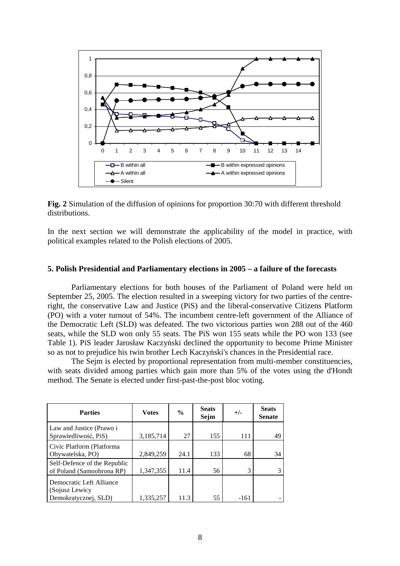

**Fig. 2** Simulation of the diffusion of opinions for proportion 30:70 with different threshold distributions.

In the next section we will demonstrate the applicability of the model in practice, with political examples related to the Polish elections of 2005.

## **5. Polish Presidential and Parliamentary elections in 2005 – a failure of the forecasts**

Parliamentary elections for both houses of the Parliament of Poland were held on September 25, 2005. The election resulted in a sweeping victory for two parties of the centreright, the conservative Law and Justice (PiS) and the liberal-conservative Citizens Platform (PO) with a voter turnout of 54%. The incumbent centre-left government of the Alliance of the Democratic Left (SLD) was defeated. The two victorious parties won 288 out of the 460 seats, while the SLD won only 55 seats. The PiS won 155 seats while the PO won 133 (see Table 1). PiS leader Jarosław Kaczyński declined the opportunity to become Prime Minister so as not to prejudice his twin brother Lech Kaczyński's chances in the Presidential race.

The Sejm is elected by proportional representation from multi-member constituencies, with seats divided among parties which gain more than 5% of the votes using the d'Hondt method. The Senate is elected under first-past-the-post bloc voting.

| <b>Parties</b>                                                      | <b>Votes</b> | $\frac{0}{0}$ | <b>Seats</b><br>Sejm | $+/-$  | <b>Seats</b><br><b>Senate</b> |
|---------------------------------------------------------------------|--------------|---------------|----------------------|--------|-------------------------------|
| Law and Justice (Prawo i<br>Sprawiedliwość, PiS)                    | 3,185,714    | 27            | 155                  | 111    | 49                            |
| Civic Platform (Platforma)<br>Obywatelska, PO)                      | 2,849,259    | 24.1          | 133                  | 68     | 34                            |
| Self-Defence of the Republic<br>of Poland (Samoobrona RP)           | 1,347,355    | 11.4          | 56                   | 3      | 3                             |
| Democratic Left Alliance<br>(Sojusz Lewicy)<br>Demokratycznej, SLD) | 1,335,257    | 11.3          | 55                   | $-161$ |                               |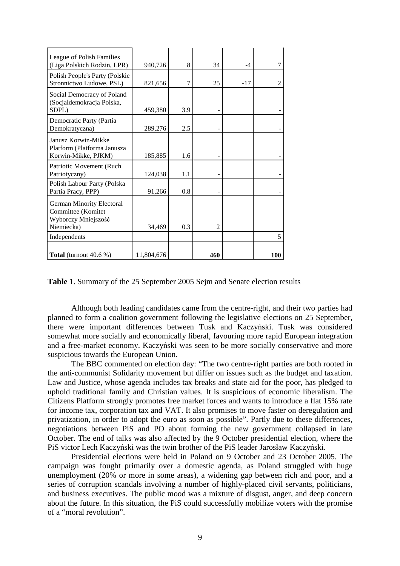| League of Polish Families<br>(Liga Polskich Rodzin, LPR)                             | 940,726    | 8   | 34             | -4    |     |
|--------------------------------------------------------------------------------------|------------|-----|----------------|-------|-----|
| Polish People's Party (Polskie<br>Stronnictwo Ludowe, PSL)                           | 821,656    | 7   | 25             | $-17$ |     |
| Social Democracy of Poland<br>(Socjaldemokracja Polska,<br>SDPL)                     | 459,380    | 3.9 |                |       |     |
| Democratic Party (Partia<br>Demokratyczna)                                           | 289,276    | 2.5 |                |       |     |
| Janusz Korwin-Mikke<br>Platform (Platforma Janusza<br>Korwin-Mikke, PJKM)            | 185,885    | 1.6 |                |       |     |
| Patriotic Movement (Ruch<br>Patriotyczny)                                            | 124,038    | 1.1 |                |       |     |
| Polish Labour Party (Polska<br>Partia Pracy, PPP)                                    | 91,266     | 0.8 |                |       |     |
| German Minority Electoral<br>Committee (Komitet<br>Wyborczy Mniejszość<br>Niemiecka) | 34,469     | 0.3 | $\overline{c}$ |       |     |
| Independents                                                                         |            |     |                |       | 5   |
| Total (turnout 40.6 %)                                                               | 11,804,676 |     | 460            |       | 100 |

**Table 1**. Summary of the 25 September 2005 Sejm and Senate election results

Although both leading candidates came from the centre-right, and their two parties had planned to form a coalition government following the legislative elections on 25 September, there were important differences between Tusk and Kaczyński. Tusk was considered somewhat more socially and economically liberal, favouring more rapid European integration and a free-market economy. Kaczyński was seen to be more socially conservative and more suspicious towards the European Union.

The BBC commented on election day: "The two centre-right parties are both rooted in the anti-communist Solidarity movement but differ on issues such as the budget and taxation. Law and Justice, whose agenda includes tax breaks and state aid for the poor, has pledged to uphold traditional family and Christian values. It is suspicious of economic liberalism. The Citizens Platform strongly promotes free market forces and wants to introduce a flat 15% rate for income tax, corporation tax and VAT. It also promises to move faster on deregulation and privatization, in order to adopt the euro as soon as possible". Partly due to these differences, negotiations between PiS and PO about forming the new government collapsed in late October. The end of talks was also affected by the 9 October presidential election, where the PiS victor Lech Kaczyński was the twin brother of the PiS leader Jarosław Kaczyński.

Presidential elections were held in Poland on 9 October and 23 October 2005. The campaign was fought primarily over a domestic agenda, as Poland struggled with huge unemployment (20% or more in some areas), a widening gap between rich and poor, and a series of corruption scandals involving a number of highly-placed civil servants, politicians, and business executives. The public mood was a mixture of disgust, anger, and deep concern about the future. In this situation, the PiS could successfully mobilize voters with the promise of a "moral revolution".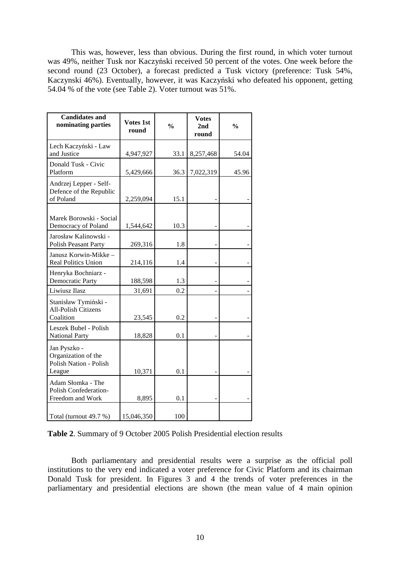This was, however, less than obvious. During the first round, in which voter turnout was 49%, neither Tusk nor Kaczyński received 50 percent of the votes. One week before the second round (23 October), a forecast predicted a Tusk victory (preference: Tusk 54%, Kaczynski 46%). Eventually, however, it was Kaczyński who defeated his opponent, getting 54.04 % of the vote (see Table 2). Voter turnout was 51%.

| <b>Candidates and</b><br>nominating parties                             | Votes 1st<br>round | $\frac{0}{0}$ | <b>Votes</b><br>2 <sub>nd</sub><br>round | $\frac{0}{0}$ |
|-------------------------------------------------------------------------|--------------------|---------------|------------------------------------------|---------------|
| Lech Kaczyński - Law<br>and Justice                                     | 4,947,927          | 33.1          | 8,257,468                                | 54.04         |
| Donald Tusk - Civic<br>Platform                                         | 5,429,666          | 36.3          | 7,022,319                                | 45.96         |
| Andrzej Lepper - Self-<br>Defence of the Republic<br>of Poland          | 2,259,094          | 15.1          |                                          |               |
| Marek Borowski - Social<br>Democracy of Poland                          | 1,544,642          | 10.3          |                                          |               |
| Jarosław Kalinowski -<br><b>Polish Peasant Party</b>                    | 269,316            | 1.8           |                                          |               |
| Janusz Korwin-Mikke -<br><b>Real Politics Union</b>                     | 214,116            | 1.4           |                                          |               |
| Henryka Bochniarz -<br><b>Democratic Party</b>                          | 188,598            | 1.3           |                                          |               |
| Liwiusz Ilasz                                                           | 31,691             | 0.2           |                                          |               |
| Stanisław Tymiński -<br><b>All-Polish Citizens</b><br>Coalition         | 23,545             | 0.2           |                                          |               |
| Leszek Bubel - Polish<br><b>National Party</b>                          | 18,828             | 0.1           |                                          |               |
| Jan Pyszko -<br>Organization of the<br>Polish Nation - Polish<br>League | 10,371             | 0.1           |                                          |               |
| Adam Słomka - The<br>Polish Confederation-<br>Freedom and Work          | 8,895              | 0.1           |                                          |               |
| Total (turnout 49.7 %)                                                  | 15,046,350         | 100           |                                          |               |

**Table 2**. Summary of 9 October 2005 Polish Presidential election results

Both parliamentary and presidential results were a surprise as the official poll institutions to the very end indicated a voter preference for Civic Platform and its chairman Donald Tusk for president. In Figures 3 and 4 the trends of voter preferences in the parliamentary and presidential elections are shown (the mean value of 4 main opinion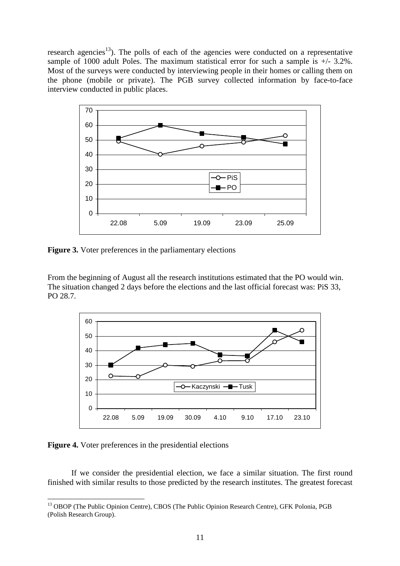research agencies<sup>13</sup>). The polls of each of the agencies were conducted on a representative sample of 1000 adult Poles. The maximum statistical error for such a sample is +/- 3.2%. Most of the surveys were conducted by interviewing people in their homes or calling them on the phone (mobile or private). The PGB survey collected information by face-to-face interview conducted in public places.



**Figure 3.** Voter preferences in the parliamentary elections

From the beginning of August all the research institutions estimated that the PO would win. The situation changed 2 days before the elections and the last official forecast was: PiS 33, PO 28.7.



**Figure 4.** Voter preferences in the presidential elections

 $\overline{a}$ 

If we consider the presidential election, we face a similar situation. The first round finished with similar results to those predicted by the research institutes. The greatest forecast

<sup>&</sup>lt;sup>13</sup> OBOP (The Public Opinion Centre), CBOS (The Public Opinion Research Centre), GFK Polonia, PGB (Polish Research Group).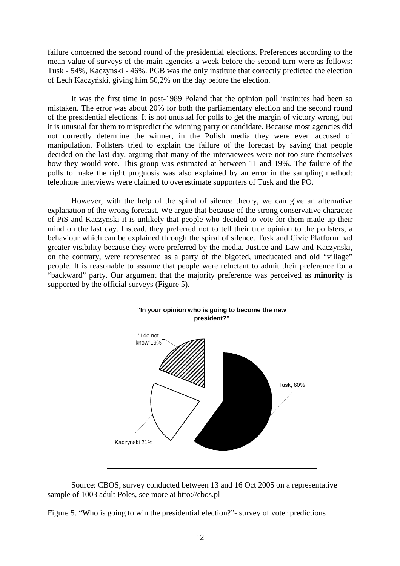failure concerned the second round of the presidential elections. Preferences according to the mean value of surveys of the main agencies a week before the second turn were as follows: Tusk - 54%, Kaczynski - 46%. PGB was the only institute that correctly predicted the election of Lech Kaczyński, giving him 50,2% on the day before the election.

It was the first time in post-1989 Poland that the opinion poll institutes had been so mistaken. The error was about 20% for both the parliamentary election and the second round of the presidential elections. It is not unusual for polls to get the margin of victory wrong, but it is unusual for them to mispredict the winning party or candidate. Because most agencies did not correctly determine the winner, in the Polish media they were even accused of manipulation. Pollsters tried to explain the failure of the forecast by saying that people decided on the last day, arguing that many of the interviewees were not too sure themselves how they would vote. This group was estimated at between 11 and 19%. The failure of the polls to make the right prognosis was also explained by an error in the sampling method: telephone interviews were claimed to overestimate supporters of Tusk and the PO.

However, with the help of the spiral of silence theory, we can give an alternative explanation of the wrong forecast. We argue that because of the strong conservative character of PiS and Kaczynski it is unlikely that people who decided to vote for them made up their mind on the last day. Instead, they preferred not to tell their true opinion to the pollsters, a behaviour which can be explained through the spiral of silence. Tusk and Civic Platform had greater visibility because they were preferred by the media. Justice and Law and Kaczynski, on the contrary, were represented as a party of the bigoted, uneducated and old "village" people. It is reasonable to assume that people were reluctant to admit their preference for a "backward" party. Our argument that the majority preference was perceived as **minority** is supported by the official surveys (Figure 5).



Source: CBOS, survey conducted between 13 and 16 Oct 2005 on a representative sample of 1003 adult Poles, see more at htto://cbos.pl

Figure 5. "Who is going to win the presidential election?"- survey of voter predictions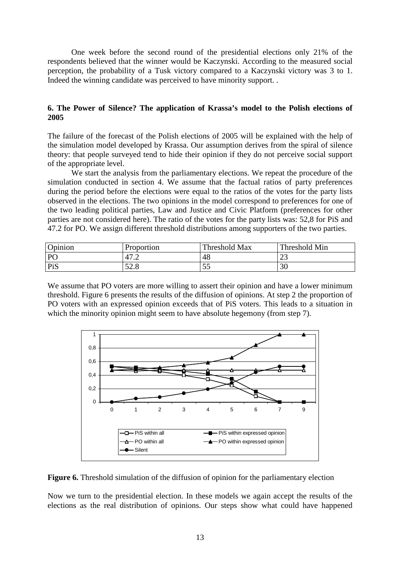One week before the second round of the presidential elections only 21% of the respondents believed that the winner would be Kaczynski. According to the measured social perception, the probability of a Tusk victory compared to a Kaczynski victory was 3 to 1. Indeed the winning candidate was perceived to have minority support. .

# **6. The Power of Silence? The application of Krassa's model to the Polish elections of 2005**

The failure of the forecast of the Polish elections of 2005 will be explained with the help of the simulation model developed by Krassa. Our assumption derives from the spiral of silence theory: that people surveyed tend to hide their opinion if they do not perceive social support of the appropriate level.

We start the analysis from the parliamentary elections. We repeat the procedure of the simulation conducted in section 4. We assume that the factual ratios of party preferences during the period before the elections were equal to the ratios of the votes for the party lists observed in the elections. The two opinions in the model correspond to preferences for one of the two leading political parties, Law and Justice and Civic Platform (preferences for other parties are not considered here). The ratio of the votes for the party lists was: 52,8 for PiS and 47.2 for PO. We assign different threshold distributions among supporters of the two parties.

| Opinion   | Proportion            | Threshold Max | Threshold Min |
|-----------|-----------------------|---------------|---------------|
| $P\Gamma$ | $1\pi$ $\sim$<br>41.Z | 48            | رے            |
| PiS       | 52.8                  | 55<br>ر ر     | 30            |

We assume that PO voters are more willing to assert their opinion and have a lower minimum threshold. Figure 6 presents the results of the diffusion of opinions. At step 2 the proportion of PO voters with an expressed opinion exceeds that of PiS voters. This leads to a situation in which the minority opinion might seem to have absolute hegemony (from step 7).



**Figure 6.** Threshold simulation of the diffusion of opinion for the parliamentary election

Now we turn to the presidential election. In these models we again accept the results of the elections as the real distribution of opinions. Our steps show what could have happened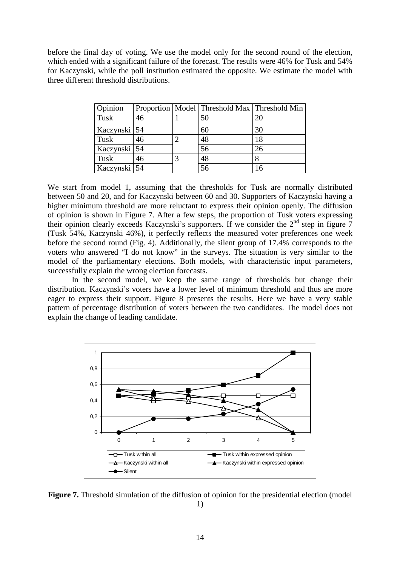before the final day of voting. We use the model only for the second round of the election, which ended with a significant failure of the forecast. The results were 46% for Tusk and 54% for Kaczynski, while the poll institution estimated the opposite. We estimate the model with three different threshold distributions.

| Opinion      |    |   | Proportion   Model   Threshold Max   Threshold Min |    |
|--------------|----|---|----------------------------------------------------|----|
| Tusk         | 46 |   | 50                                                 | 20 |
| Kaczynski 54 |    |   | 60                                                 | 30 |
| Tusk         | 46 | 2 | 48                                                 | 18 |
| Kaczynski 54 |    |   | 56                                                 | 26 |
| Tusk         | 46 | 3 | 48                                                 | 8  |
| Kaczynski 54 |    |   | 56                                                 | 16 |

We start from model 1, assuming that the thresholds for Tusk are normally distributed between 50 and 20, and for Kaczynski between 60 and 30. Supporters of Kaczynski having a higher minimum threshold are more reluctant to express their opinion openly. The diffusion of opinion is shown in Figure 7. After a few steps, the proportion of Tusk voters expressing their opinion clearly exceeds Kaczynski's supporters. If we consider the 2<sup>nd</sup> step in figure 7 (Tusk 54%, Kaczynski 46%), it perfectly reflects the measured voter preferences one week before the second round (Fig. 4). Additionally, the silent group of 17.4% corresponds to the voters who answered "I do not know" in the surveys. The situation is very similar to the model of the parliamentary elections. Both models, with characteristic input parameters, successfully explain the wrong election forecasts.

 In the second model, we keep the same range of thresholds but change their distribution. Kaczynski's voters have a lower level of minimum threshold and thus are more eager to express their support. Figure 8 presents the results. Here we have a very stable pattern of percentage distribution of voters between the two candidates. The model does not explain the change of leading candidate.



**Figure 7.** Threshold simulation of the diffusion of opinion for the presidential election (model 1)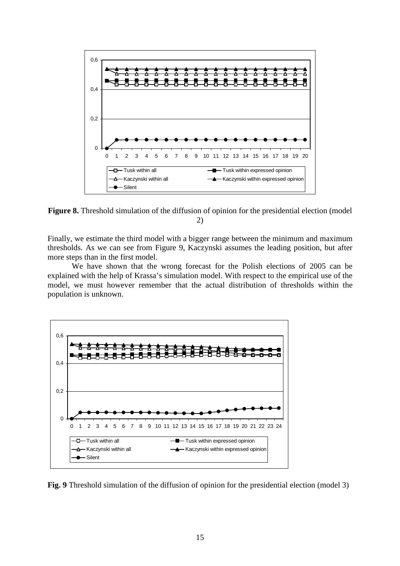

**Figure 8.** Threshold simulation of the diffusion of opinion for the presidential election (model) 2)

Finally, we estimate the third model with a bigger range between the minimum and maximum thresholds. As we can see from Figure 9, Kaczynski assumes the leading position, but after more steps than in the first model.

 We have shown that the wrong forecast for the Polish elections of 2005 can be explained with the help of Krassa's simulation model. With respect to the empirical use of the model, we must however remember that the actual distribution of thresholds within the population is unknown.



**Fig. 9** Threshold simulation of the diffusion of opinion for the presidential election (model 3)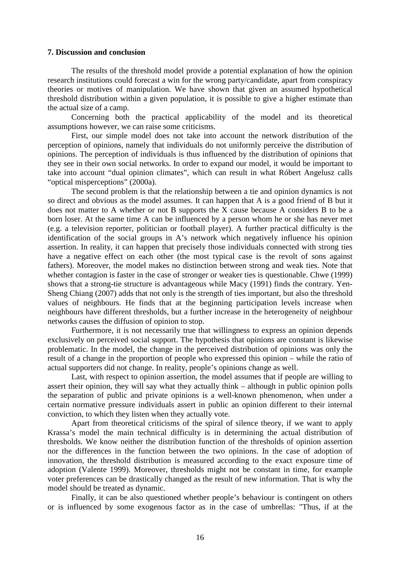#### **7. Discussion and conclusion**

The results of the threshold model provide a potential explanation of how the opinion research institutions could forecast a win for the wrong party/candidate, apart from conspiracy theories or motives of manipulation. We have shown that given an assumed hypothetical threshold distribution within a given population, it is possible to give a higher estimate than the actual size of a camp.

Concerning both the practical applicability of the model and its theoretical assumptions however, we can raise some criticisms.

First, our simple model does not take into account the network distribution of the perception of opinions, namely that individuals do not uniformly perceive the distribution of opinions. The perception of individuals is thus influenced by the distribution of opinions that they see in their own social networks. In order to expand our model, it would be important to take into account "dual opinion climates", which can result in what Róbert Angelusz calls "optical misperceptions" (2000a).

The second problem is that the relationship between a tie and opinion dynamics is not so direct and obvious as the model assumes. It can happen that A is a good friend of B but it does not matter to A whether or not B supports the X cause because A considers B to be a born loser. At the same time A can be influenced by a person whom he or she has never met (e.g. a television reporter, politician or football player). A further practical difficulty is the identification of the social groups in A's network which negatively influence his opinion assertion. In reality, it can happen that precisely those individuals connected with strong ties have a negative effect on each other (the most typical case is the revolt of sons against fathers). Moreover, the model makes no distinction between strong and weak ties. Note that whether contagion is faster in the case of stronger or weaker ties is questionable. Chwe (1999) shows that a strong-tie structure is advantageous while Macy (1991) finds the contrary. Yen-Sheng Chiang (2007) adds that not only is the strength of ties important, but also the threshold values of neighbours. He finds that at the beginning participation levels increase when neighbours have different thresholds, but a further increase in the heterogeneity of neighbour networks causes the diffusion of opinion to stop.

Furthermore, it is not necessarily true that willingness to express an opinion depends exclusively on perceived social support. The hypothesis that opinions are constant is likewise problematic. In the model, the change in the perceived distribution of opinions was only the result of a change in the proportion of people who expressed this opinion – while the ratio of actual supporters did not change. In reality, people's opinions change as well.

Last, with respect to opinion assertion, the model assumes that if people are willing to assert their opinion, they will say what they actually think – although in public opinion polls the separation of public and private opinions is a well-known phenomenon, when under a certain normative pressure individuals assert in public an opinion different to their internal conviction, to which they listen when they actually vote.

Apart from theoretical criticisms of the spiral of silence theory, if we want to apply Krassa's model the main technical difficulty is in determining the actual distribution of thresholds. We know neither the distribution function of the thresholds of opinion assertion nor the differences in the function between the two opinions. In the case of adoption of innovation, the threshold distribution is measured according to the exact exposure time of adoption (Valente 1999). Moreover, thresholds might not be constant in time, for example voter preferences can be drastically changed as the result of new information. That is why the model should be treated as dynamic.

Finally, it can be also questioned whether people's behaviour is contingent on others or is influenced by some exogenous factor as in the case of umbrellas: "Thus, if at the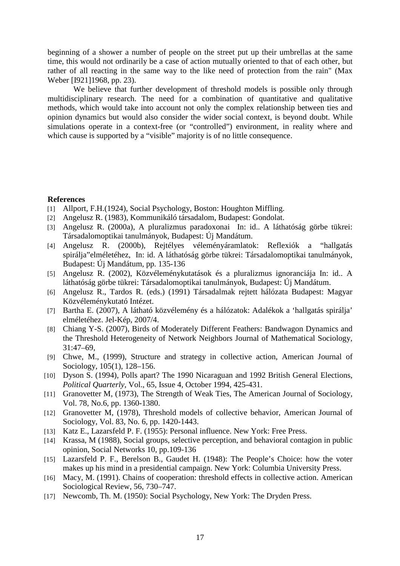beginning of a shower a number of people on the street put up their umbrellas at the same time, this would not ordinarily be a case of action mutually oriented to that of each other, but rather of all reacting in the same way to the like need of protection from the rain" (Max Weber [I921]1968, pp. 23).

 We believe that further development of threshold models is possible only through multidisciplinary research. The need for a combination of quantitative and qualitative methods, which would take into account not only the complex relationship between ties and opinion dynamics but would also consider the wider social context, is beyond doubt. While simulations operate in a context-free (or "controlled") environment, in reality where and which cause is supported by a "visible" majority is of no little consequence.

# **References**

- [1] Allport, F.H.(1924), Social Psychology, Boston: Houghton Miffling.
- [2] Angelusz R. (1983), Kommunikáló társadalom, Budapest: Gondolat.
- [3] Angelusz R. (2000a), A pluralizmus paradoxonai In: id.. A láthatóság görbe tükrei: Társadalomoptikai tanulmányok, Budapest: Új Mandátum.
- [4] Angelusz R. (2000b), Rejtélyes véleményáramlatok: Reflexiók a "hallgatás spirálja"elméletéhez, In: id. A láthatóság görbe tükrei: Társadalomoptikai tanulmányok, Budapest: Új Mandátum, pp. 135-136
- [5] Angelusz R. (2002), Közvéleménykutatások és a pluralizmus ignoranciája In: id.. A láthatóság görbe tükrei: Társadalomoptikai tanulmányok, Budapest: Új Mandátum.
- [6] Angelusz R., Tardos R. (eds.) (1991) Társadalmak rejtett hálózata Budapest: Magyar Közvéleménykutató Intézet.
- [7] Bartha E. (2007), A látható közvélemény és a hálózatok: Adalékok a 'hallgatás spirálja' elméletéhez. Jel-Kép, 2007/4.
- [8] Chiang Y-S. (2007), Birds of Moderately Different Feathers: Bandwagon Dynamics and the Threshold Heterogeneity of Network Neighbors Journal of Mathematical Sociology, 31:47–69,
- [9] Chwe, M., (1999), Structure and strategy in collective action, American Journal of Sociology, 105(1), 128–156.
- [10] Dyson S. (1994), Polls apart? The 1990 Nicaraguan and 1992 British General Elections, *Political Quarterly*, Vol., 65, Issue 4, October 1994, 425-431.
- [11] Granovetter M, (1973), The Strength of Weak Ties, The American Journal of Sociology, Vol. 78, No.6, pp. 1360-1380.
- [12] Granovetter M, (1978), Threshold models of collective behavior, American Journal of Sociology, Vol. 83, No. 6, pp. 1420-1443.
- [13] Katz E., Lazarsfeld P. F. (1955): Personal influence. New York: Free Press.
- [14] Krassa, M (1988), Social groups, selective perception, and behavioral contagion in public opinion, Social Networks 10, pp.109-136
- [15] Lazarsfeld P. F., Berelson B., Gaudet H. (1948): The People's Choice: how the voter makes up his mind in a presidential campaign. New York: Columbia University Press.
- [16] Macy, M. (1991). Chains of cooperation: threshold effects in collective action. American Sociological Review, 56, 730–747.
- [17] Newcomb, Th. M. (1950): Social Psychology, New York: The Dryden Press.